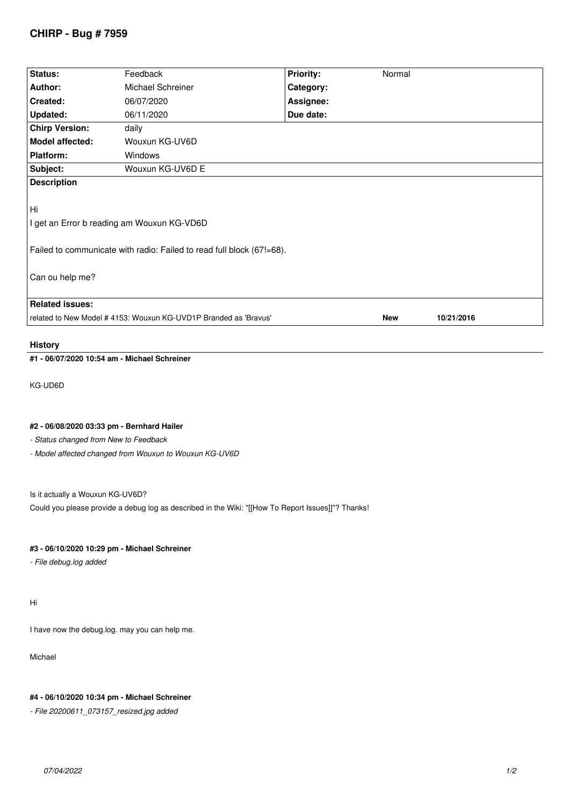# **CHIRP - Bug # 7959**

| Status:                                                                                                                                      | Feedback          | <b>Priority:</b> | Normal     |            |  |
|----------------------------------------------------------------------------------------------------------------------------------------------|-------------------|------------------|------------|------------|--|
| Author:                                                                                                                                      | Michael Schreiner | Category:        |            |            |  |
| Created:                                                                                                                                     | 06/07/2020        | Assignee:        |            |            |  |
| <b>Updated:</b>                                                                                                                              | 06/11/2020        | Due date:        |            |            |  |
| <b>Chirp Version:</b>                                                                                                                        | daily             |                  |            |            |  |
| <b>Model affected:</b>                                                                                                                       | Wouxun KG-UV6D    |                  |            |            |  |
| <b>Platform:</b>                                                                                                                             | Windows           |                  |            |            |  |
| Subject:                                                                                                                                     | Wouxun KG-UV6D E  |                  |            |            |  |
| <b>Description</b>                                                                                                                           |                   |                  |            |            |  |
| Hi<br>I get an Error b reading am Wouxun KG-VD6D<br>Failed to communicate with radio: Failed to read full block (67!=68).<br>Can ou help me? |                   |                  |            |            |  |
| <b>Related issues:</b>                                                                                                                       |                   |                  |            |            |  |
| related to New Model #4153: Wouxun KG-UVD1P Branded as 'Bravus'                                                                              |                   |                  | <b>New</b> | 10/21/2016 |  |
|                                                                                                                                              |                   |                  |            |            |  |

### **History**

**#1 - 06/07/2020 10:54 am - Michael Schreiner**

*KG-UD6D*

## **#2 - 06/08/2020 03:33 pm - Bernhard Hailer**

*- Status changed from New to Feedback*

*- Model affected changed from Wouxun to Wouxun KG-UV6D*

### *Is it actually a Wouxun KG-UV6D?*

*Could you please provide a debug log as described in the Wiki: "[[How To Report Issues]]"? Thanks!*

#### **#3 - 06/10/2020 10:29 pm - Michael Schreiner**

*- File debug.log added*

*Hi*

*I have now the debug.log. may you can help me.*

*Michael*

### **#4 - 06/10/2020 10:34 pm - Michael Schreiner**

*- File 20200611\_073157\_resized.jpg added*